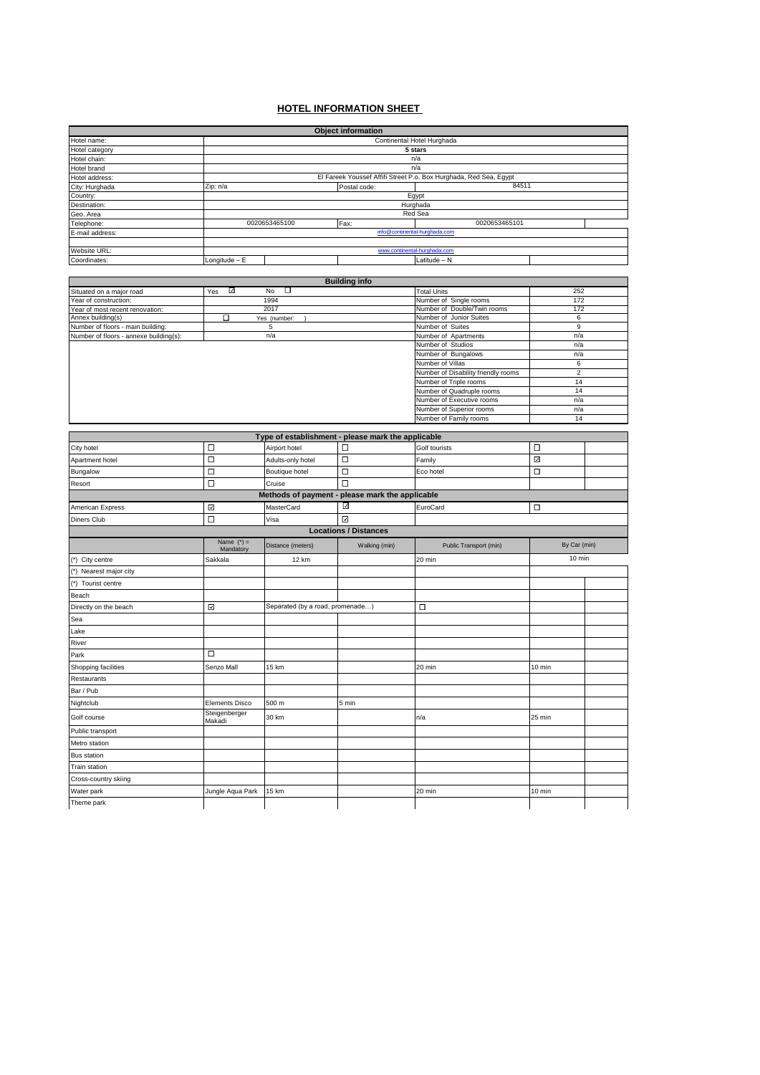## **HOTEL INFORMATION SHEET**

|                                                        |                         |                                  | <b>Object information</b>                          |                                                                   |                |  |
|--------------------------------------------------------|-------------------------|----------------------------------|----------------------------------------------------|-------------------------------------------------------------------|----------------|--|
| Hotel name:                                            |                         |                                  |                                                    | Continental Hotel Hurghada                                        |                |  |
| Hotel category                                         | 5 stars                 |                                  |                                                    |                                                                   |                |  |
| Hotel chain:                                           | n/a<br>n/a              |                                  |                                                    |                                                                   |                |  |
| Hotel brand<br>Hotel address:                          |                         |                                  |                                                    | El Fareek Youssef Affifi Street P.o. Box Hurghada, Red Sea, Egypt |                |  |
| City: Hurghada                                         | Zip: n/a                |                                  | Postal code:                                       | 84511                                                             |                |  |
| Country:                                               |                         |                                  |                                                    | Egypt                                                             |                |  |
| Destination:                                           |                         |                                  |                                                    | Hurghada                                                          |                |  |
| Geo. Area                                              |                         |                                  |                                                    | Red Sea                                                           |                |  |
| Telephone:                                             |                         | 0020653465100                    | Fax:                                               | 0020653465101                                                     |                |  |
| E-mail address:                                        |                         |                                  |                                                    | info@continental-hurghada.com                                     |                |  |
| Website URL:                                           |                         |                                  |                                                    | www.continental-hurghada.com                                      |                |  |
| Coordinates:                                           | Longitude - E           |                                  |                                                    | Latitude - N                                                      |                |  |
|                                                        |                         |                                  |                                                    |                                                                   |                |  |
|                                                        |                         |                                  | <b>Building info</b>                               |                                                                   |                |  |
| Situated on a major road                               | ॼ<br>Yes                | т<br>No                          |                                                    | <b>Total Units</b>                                                | 252            |  |
| Year of construction:                                  |                         | 1994                             |                                                    | Number of Single rooms                                            | 172            |  |
| Year of most recent renovation:                        | 2017                    |                                  |                                                    | Number of Double/Twin rooms<br>Number of Junior Suites            | 172<br>6       |  |
| Annex building(s)<br>Number of floors - main building: | □                       | Yes (number:<br>5                |                                                    | Number of Suites                                                  | 9              |  |
| Number of floors - annexe building(s)                  |                         | n/a                              |                                                    | Number of Apartments                                              | n/a            |  |
|                                                        |                         |                                  |                                                    | Number of Studios                                                 | n/a            |  |
|                                                        |                         |                                  |                                                    | Number of Bungalows                                               | n/a            |  |
|                                                        |                         |                                  |                                                    | Number of Villas                                                  | 6              |  |
|                                                        |                         |                                  |                                                    | Number of Disability friendly rooms                               | $\overline{2}$ |  |
|                                                        |                         |                                  |                                                    | Number of Triple rooms<br>Number of Quadruple rooms               | 14<br>14       |  |
|                                                        |                         |                                  |                                                    | Number of Executive rooms                                         | n/a            |  |
|                                                        |                         |                                  |                                                    | Number of Superior rooms                                          | n/a            |  |
|                                                        |                         |                                  |                                                    | Number of Family rooms                                            | 14             |  |
|                                                        |                         |                                  |                                                    |                                                                   |                |  |
|                                                        |                         |                                  | Type of establishment - please mark the applicable |                                                                   |                |  |
| City hotel                                             | □                       | Airport hotel                    | □                                                  | Golf tourists                                                     | $\Box$         |  |
| Apartment hotel                                        | □                       | Adults-only hotel                | □                                                  | Family                                                            | ☑              |  |
| Bungalow                                               | □                       | Boutique hotel                   | □                                                  | Eco hotel                                                         | $\Box$         |  |
| Resort                                                 | □                       | Cruise                           | □                                                  |                                                                   |                |  |
|                                                        |                         |                                  | Methods of payment - please mark the applicable    |                                                                   |                |  |
| American Express                                       | ☑                       | MasterCard                       | ☑                                                  | EuroCard                                                          | $\Box$         |  |
| <b>Diners Club</b>                                     | □                       | Visa                             | ☑                                                  |                                                                   |                |  |
|                                                        |                         |                                  | <b>Locations / Distances</b>                       |                                                                   |                |  |
|                                                        | Name $(*)$ =            | Distance (meters)                | Walking (min)                                      | Public Transport (min)                                            | By Car (min)   |  |
|                                                        | Mandatory               |                                  |                                                    |                                                                   | 10 min         |  |
| (*) City centre                                        | Sakkala                 | 12 km                            |                                                    | 20 min                                                            |                |  |
| (*) Nearest major city                                 |                         |                                  |                                                    |                                                                   |                |  |
| (*) Tourist centre                                     |                         |                                  |                                                    |                                                                   |                |  |
| Beach                                                  |                         |                                  |                                                    |                                                                   |                |  |
| Directly on the beach                                  | ☑                       | Separated (by a road, promenade) |                                                    | □                                                                 |                |  |
| Sea                                                    |                         |                                  |                                                    |                                                                   |                |  |
| Lake                                                   |                         |                                  |                                                    |                                                                   |                |  |
| River                                                  |                         |                                  |                                                    |                                                                   |                |  |
| Park                                                   | □                       |                                  |                                                    |                                                                   |                |  |
|                                                        |                         |                                  |                                                    |                                                                   |                |  |
| Shopping facilities                                    | Senzo Mall              | 15 km                            |                                                    | 20 min                                                            | 10 min         |  |
| Restaurants                                            |                         |                                  |                                                    |                                                                   |                |  |
| Bar / Pub                                              |                         |                                  |                                                    |                                                                   |                |  |
| Nightclub                                              | <b>Elements Disco</b>   | 500 m                            | 5 min                                              |                                                                   |                |  |
| Golf course                                            | Steigenberger<br>Makadi | 30 km                            |                                                    | n/a                                                               | 25 min         |  |
| Public transport                                       |                         |                                  |                                                    |                                                                   |                |  |
| Metro station                                          |                         |                                  |                                                    |                                                                   |                |  |
| <b>Bus station</b>                                     |                         |                                  |                                                    |                                                                   |                |  |
| Train station                                          |                         |                                  |                                                    |                                                                   |                |  |
| Cross-country skiing                                   |                         |                                  |                                                    |                                                                   |                |  |
|                                                        |                         |                                  |                                                    |                                                                   |                |  |
| Water park                                             | Jungle Aqua Park        | 15 km                            |                                                    | 20 min                                                            | 10 min         |  |
| Theme park                                             |                         |                                  |                                                    |                                                                   |                |  |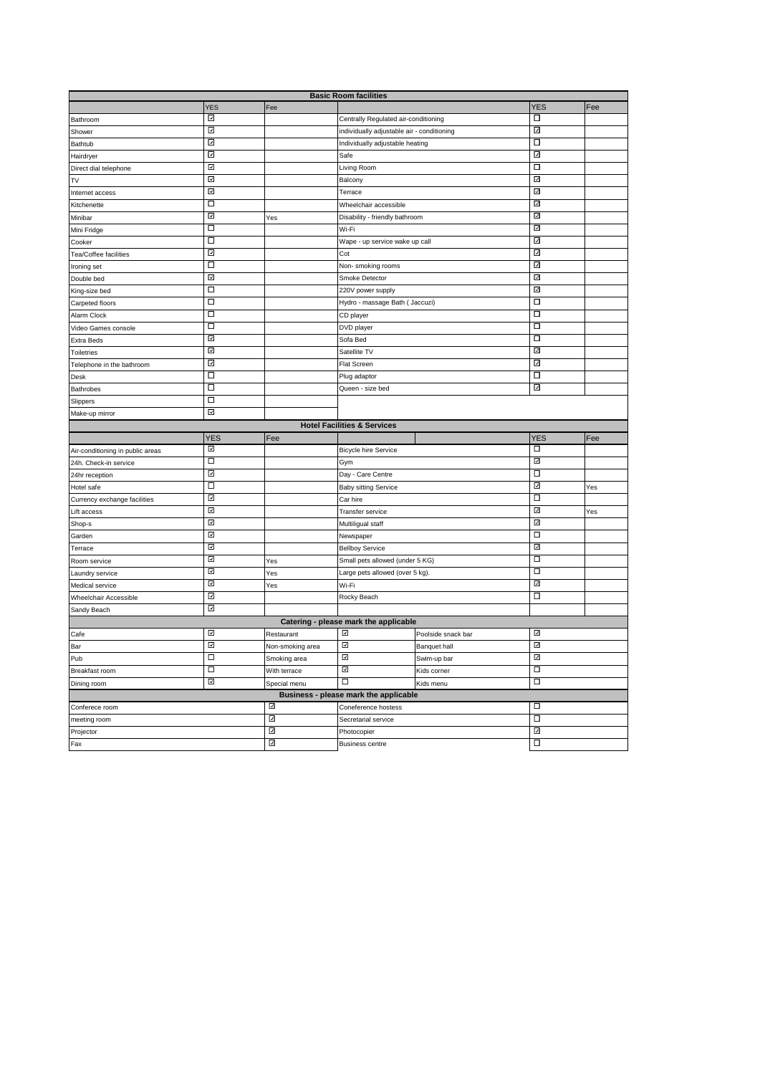| <b>Basic Room facilities</b>     |                         |                  |                                            |                     |                         |     |
|----------------------------------|-------------------------|------------------|--------------------------------------------|---------------------|-------------------------|-----|
|                                  | <b>YES</b>              | Fee              |                                            |                     | <b>YES</b>              | Fee |
| Bathroom                         | ⊡                       |                  | Centrally Regulated air-conditioning       |                     | □                       |     |
| Shower                           | ⊡                       |                  | individually adjustable air - conditioning |                     | ⊡                       |     |
| <b>Bathtub</b>                   | ⊡                       |                  | Individually adjustable heating            |                     | □                       |     |
| Hairdryer                        | $\overline{\mathbf{v}}$ |                  | Safe                                       |                     | ☑                       |     |
| Direct dial telephone            | ⊡                       |                  | Living Room                                |                     | □                       |     |
| <b>TV</b>                        | ⊡                       |                  | Balcony                                    |                     | $\overline{\omega}$     |     |
| Internet access                  | ₹                       |                  | Terrace                                    |                     | ☑                       |     |
| Kitchenette                      | $\Box$                  |                  | Wheelchair accessible                      |                     | ⊡                       |     |
| Minibar                          | ⊡                       | Yes              | Disability - friendly bathroom             |                     | ☑                       |     |
| Mini Fridge                      | □                       |                  | Wi-Fi                                      |                     | ₹                       |     |
| Cooker                           | □                       |                  | Wape - up service wake up call             |                     | ⊡                       |     |
| Tea/Coffee facilities            | ☑                       |                  | Cot                                        |                     | $\overline{\mathsf{v}}$ |     |
| Ironing set                      | □                       |                  | Non-smoking rooms                          |                     | ⊡                       |     |
| Double bed                       | ⊡                       |                  | Smoke Detector                             |                     | 囜                       |     |
| King-size bed                    | $\Box$                  |                  | 220V power supply                          |                     | ₹                       |     |
| Carpeted floors                  | □                       |                  | Hydro - massage Bath ( Jaccuzi)            |                     | □                       |     |
| Alarm Clock                      | $\Box$                  |                  | CD player                                  |                     | □                       |     |
| Video Games console              | □                       |                  | DVD player                                 |                     | □                       |     |
| <b>Extra Beds</b>                | 囜                       |                  | Sofa Bed                                   |                     | $\Box$                  |     |
| <b>Toiletries</b>                | ⊡                       |                  | Satellite TV                               |                     | ☑                       |     |
| Telephone in the bathroom        | ⊡                       |                  | Flat Screen                                |                     | ⊡                       |     |
| Desk                             | Π                       |                  | Plug adaptor                               |                     | □                       |     |
| <b>Bathrobes</b>                 | □                       |                  |                                            |                     | ⊡                       |     |
|                                  | $\Box$                  |                  | Queen - size bed                           |                     |                         |     |
| Slippers                         |                         |                  |                                            |                     |                         |     |
| ⊡<br>Make-up mirror              |                         |                  |                                            |                     |                         |     |
|                                  |                         |                  |                                            |                     |                         |     |
|                                  |                         |                  | <b>Hotel Facilities &amp; Services</b>     |                     |                         |     |
|                                  | <b>YES</b>              | Fee              |                                            |                     | <b>YES</b>              | Fee |
| Air-conditioning in public areas | ☑                       |                  | <b>Bicycle hire Service</b>                |                     | □                       |     |
| 24h. Check-in service            | □                       |                  | Gym                                        |                     | ⊡                       |     |
| 24hr reception                   | ₫                       |                  | Day - Care Centre                          |                     | $\overline{\square}$    |     |
| Hotel safe                       | □                       |                  | <b>Baby sitting Service</b>                |                     | ⊡                       | Yes |
| Currency exchange facilities     | ⊡                       |                  | Car hire                                   |                     | $\Box$                  |     |
| Lift access                      | ⊡                       |                  | Transfer service                           |                     | ₫                       | Yes |
| Shop-s                           | ⊡                       |                  | Multiligual staff                          |                     | ⊡                       |     |
| Garden                           | ⊡                       |                  | Newspaper                                  |                     | Ξ                       |     |
| Terrace                          | ⊡                       |                  | <b>Bellboy Service</b>                     |                     | ⊡                       |     |
| Room service                     | ⊡                       | Yes              | Small pets allowed (under 5 KG)            |                     | □                       |     |
| Laundry service                  | ⊡                       | <b>Yes</b>       | Large pets allowed (over 5 kg).            |                     | □                       |     |
| Medical service                  | ⊡                       | Yes              | Wi-Fi                                      |                     | ⊡                       |     |
| Wheelchair Accessible            | ☑                       |                  | Rocky Beach                                |                     | □                       |     |
| Sandy Beach                      | ⊡                       |                  |                                            |                     |                         |     |
|                                  |                         |                  | Catering - please mark the applicable      |                     |                         |     |
| Cafe                             | ⊡                       | Restaurant       | ☑                                          | Poolside snack bar  | ⊡                       |     |
| Bar                              | ⊡                       | Non-smoking area | ⊡                                          | <b>Banquet hall</b> | ⊡                       |     |
| Pub                              | $\Box$                  | Smoking area     | ☑                                          | Swim-up bar         | ☑                       |     |
| Breakfast room                   | □                       | With terrace     | ⊡                                          | Kids corner         | $\overline{\square}$    |     |
| Dining room                      | ⊡                       | Special menu     | $\overline{\square}$                       | Kids menu           | $\overline{\Box}$       |     |
|                                  |                         |                  | Business - please mark the applicable      |                     |                         |     |
| Conferece room                   |                         | ☑                | Coneference hostess                        |                     | □                       |     |
| meeting room                     |                         | ⊡                | Secretarial service                        |                     | □                       |     |
| Projector<br>Fax                 |                         | ☑<br>⊡           | Photocopier                                |                     | ⊡<br>□                  |     |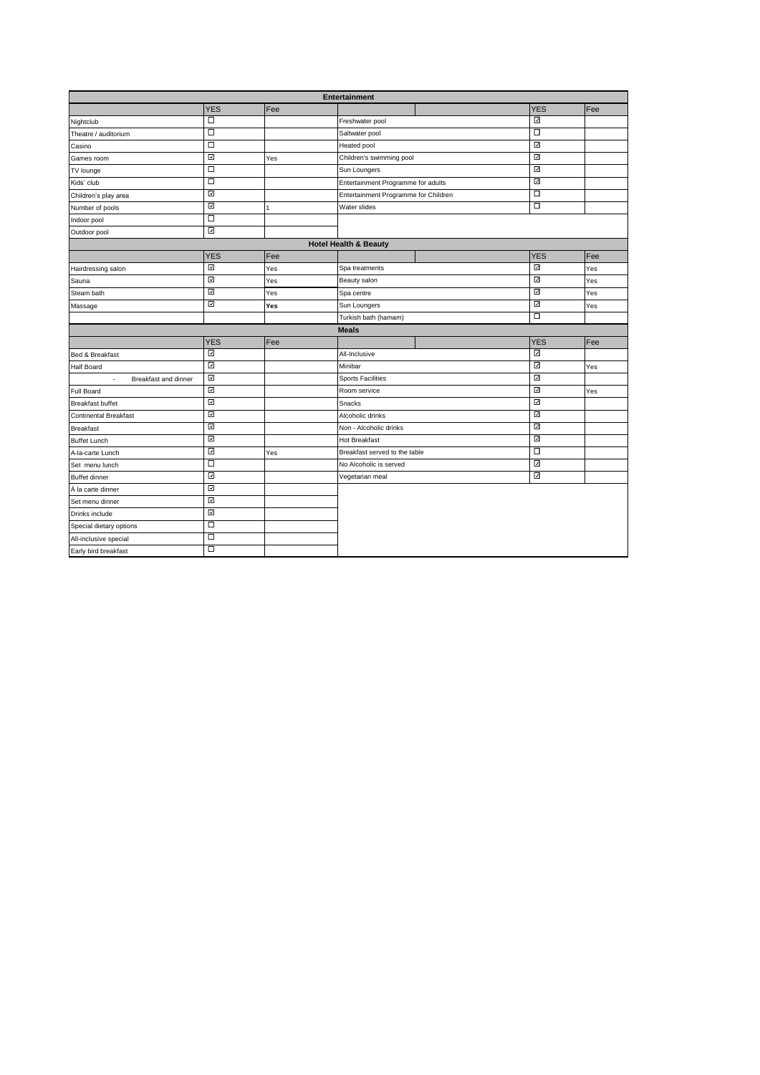| Entertainment                                           |            |     |                                      |  |            |     |
|---------------------------------------------------------|------------|-----|--------------------------------------|--|------------|-----|
|                                                         | <b>YES</b> | Fee |                                      |  | <b>YES</b> | Fee |
| Nightclub                                               | □          |     | Freshwater pool                      |  | ⊡          |     |
| Theatre / auditorium                                    | □          |     | Saltwater pool                       |  | □          |     |
| Casino                                                  | □          |     | Heated pool                          |  | ⊡          |     |
| Games room                                              | ₫          | Yes | Children's swimming pool             |  | ☑          |     |
| TV lounge                                               | □          |     | Sun Loungers                         |  | ⊡          |     |
| Kids' club                                              | Ξ          |     | Entertainment Programme for adults   |  | ⊡          |     |
| Children's play area                                    | ₫          |     | Entertainment Programme for Children |  | □          |     |
| Number of pools                                         | ⊡          | 1   | <b>Water slides</b>                  |  | $\Box$     |     |
| Indoor pool                                             | □          |     |                                      |  |            |     |
| Outdoor pool                                            | ☑          |     |                                      |  |            |     |
|                                                         |            |     | <b>Hotel Health &amp; Beauty</b>     |  |            |     |
|                                                         | <b>YES</b> | Fee |                                      |  | <b>YES</b> | Fee |
| Hairdressing salon                                      | ⊡          | Yes | Spa treatments                       |  | ⊡          | Yes |
| Sauna                                                   | ☑          | Yes | Beauty salon                         |  | ⊡          | Yes |
| Steam bath                                              | ⊡          | Yes | Spa centre                           |  | ⊡          | Yes |
| Massage                                                 | ⊡          | Yes | Sun Loungers                         |  | ⊡          | Yes |
|                                                         |            |     | Turkish bath (hamam)                 |  | □          |     |
|                                                         |            |     | <b>Meals</b>                         |  |            |     |
|                                                         | <b>YES</b> | Fee |                                      |  | <b>YES</b> | Fee |
| Bed & Breakfast                                         | ⊡          |     | All-Inclusive                        |  | ☑          |     |
| <b>Half Board</b>                                       | ⊡          |     | Minibar                              |  | ⊡          | Yes |
| $\overline{\phantom{a}}$<br><b>Breakfast and dinner</b> | ☑          |     | <b>Sports Facilities</b>             |  | ☑          |     |
| <b>Full Board</b>                                       | ⊡          |     | Room service                         |  | ⊡          | Yes |
| <b>Breakfast buffet</b>                                 | ☑          |     | Snacks                               |  | ☑          |     |
| <b>Continental Breakfast</b>                            | ⊡          |     | Alcoholic drinks                     |  | ⊡          |     |
| <b>Breakfast</b>                                        | ⊡          |     | Non - Alcoholic drinks               |  | ⊡          |     |
| <b>Buffet Lunch</b>                                     | ⊡          |     | <b>Hot Breakfast</b>                 |  | ⊡          |     |
| A-la-carte Lunch                                        | ⊡          | Yes | Breakfast served to the table        |  | □          |     |
| Set menu lunch                                          | Ξ          |     | No Alcoholic is served               |  | ⊡          |     |
| <b>Buffet dinner</b>                                    | ⊡          |     | Vegetarian meal                      |  | ⊡          |     |
| À la carte dinner                                       | ⊡          |     |                                      |  |            |     |
| Set menu dinner                                         | ₫          |     |                                      |  |            |     |
| Drinks include                                          | ⊡          |     |                                      |  |            |     |
| Special dietary options                                 | $\Box$     |     |                                      |  |            |     |
| All-inclusive special                                   | □          |     |                                      |  |            |     |
| Early bird breakfast                                    | ◻          |     |                                      |  |            |     |